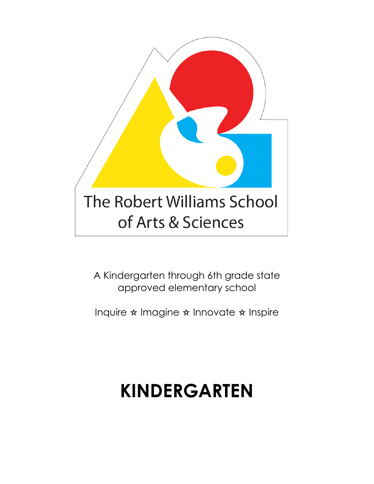

A Kindergarten through 6th grade state approved elementary school

Inquire ✫ Imagine ✫ Innovate ✫ Inspire

# **KINDERGARTEN**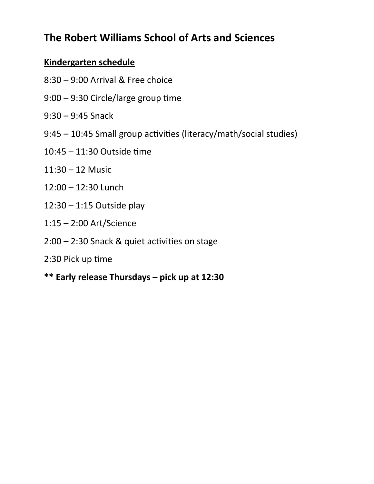# **The Robert Williams School of Arts and Sciences**

### **Kindergarten schedule**

- 8:30 9:00 Arrival & Free choice
- 9:00 9:30 Circle/large group time
- 9:30 9:45 Snack
- 9:45 10:45 Small group activities (literacy/math/social studies)
- 10:45 11:30 Outside time
- 11:30 12 Music
- 12:00 12:30 Lunch
- 12:30 1:15 Outside play
- 1:15 2:00 Art/Science
- 2:00 2:30 Snack & quiet activities on stage
- 2:30 Pick up time
- **\*\* Early release Thursdays pick up at 12:30**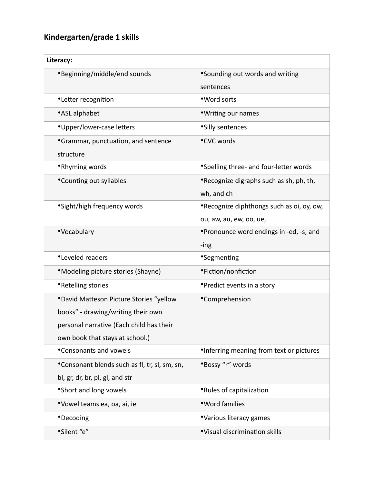## **Kindergarten/grade 1 skills**

| Literacy:                                                                                                                                                    |                                                                      |
|--------------------------------------------------------------------------------------------------------------------------------------------------------------|----------------------------------------------------------------------|
| *Beginning/middle/end sounds                                                                                                                                 | *Sounding out words and writing<br>sentences                         |
| <i>•Letter recognition</i>                                                                                                                                   | •Word sorts                                                          |
| •ASL alphabet                                                                                                                                                | *Writing our names                                                   |
| *Upper/lower-case letters                                                                                                                                    | *Silly sentences                                                     |
| <b>•</b> Grammar, punctuation, and sentence<br>structure                                                                                                     | •CVC words                                                           |
| •Rhyming words                                                                                                                                               | *Spelling three- and four-letter words                               |
| <i>*Counting out syllables</i>                                                                                                                               | *Recognize digraphs such as sh, ph, th,<br>wh, and ch                |
| *Sight/high frequency words                                                                                                                                  | *Recognize diphthongs such as oi, oy, ow,<br>ou, aw, au, ew, oo, ue, |
| •Vocabulary                                                                                                                                                  | *Pronounce word endings in -ed, -s, and<br>-ing                      |
| •Leveled readers                                                                                                                                             | <i>•</i> Segmenting                                                  |
| *Modeling picture stories (Shayne)                                                                                                                           | •Fiction/nonfiction                                                  |
| •Retelling stories                                                                                                                                           | • Predict events in a story                                          |
| *David Matteson Picture Stories "yellow<br>books" - drawing/writing their own<br>personal narrative (Each child has their<br>own book that stays at school.) | •Comprehension                                                       |
| <i><b>*Consonants and vowels</b></i>                                                                                                                         | <i>•Inferring meaning from text or pictures</i>                      |
| *Consonant blends such as fl, tr, sl, sm, sn,<br>bl, gr, dr, br, pl, gl, and str                                                                             | *Bossy "r" words                                                     |
| • Short and long vowels                                                                                                                                      | •Rules of capitalization                                             |
| *Vowel teams ea, oa, ai, ie                                                                                                                                  | • Word families                                                      |
| <i>•Decoding</i>                                                                                                                                             | *Various literacy games                                              |
| *Silent "e"                                                                                                                                                  | *Visual discrimination skills                                        |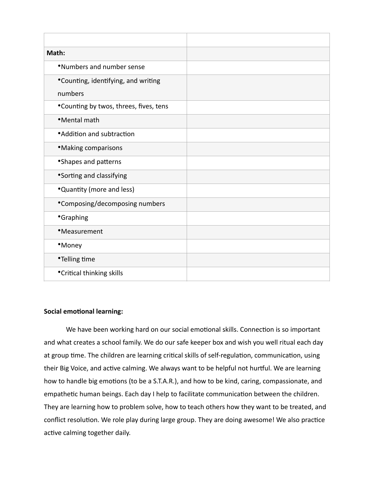| Math:                                   |  |
|-----------------------------------------|--|
| •Numbers and number sense               |  |
| *Counting, identifying, and writing     |  |
| numbers                                 |  |
| *Counting by twos, threes, fives, tens  |  |
| •Mental math                            |  |
| • Addition and subtraction              |  |
| <i><b>*Making comparisons</b></i>       |  |
| *Shapes and patterns                    |  |
| *Sorting and classifying                |  |
| *Quantity (more and less)               |  |
| *Composing/decomposing numbers          |  |
| <b>•</b> Graphing                       |  |
| •Measurement                            |  |
| •Money                                  |  |
| •Telling time                           |  |
| <i><b>•Critical thinking skills</b></i> |  |

#### **Social emotional learning:**

We have been working hard on our social emotional skills. Connection is so important and what creates a school family. We do our safe keeper box and wish you well ritual each day at group time. The children are learning critical skills of self-regulation, communication, using their Big Voice, and active calming. We always want to be helpful not hurtful. We are learning how to handle big emotions (to be a S.T.A.R.), and how to be kind, caring, compassionate, and empathetic human beings. Each day I help to facilitate communication between the children. They are learning how to problem solve, how to teach others how they want to be treated, and conflict resolution. We role play during large group. They are doing awesome! We also practice active calming together daily.